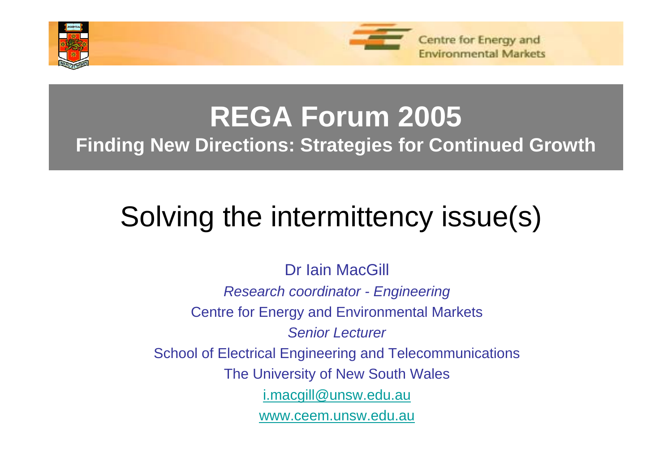



# **REGA Forum 2005**

**Finding New Directions: Strategies for Continued Growth**

# Solving the intermittency issue(s)

Dr Iain MacGill *Research coordinator - Engineering* Centre for Energy and Environmental Markets *Senior Lecturer*School of Electrical Engineering and Telecommunications The University of New South Wales [i.macgill@unsw.edu.au](mailto:i.macgill@unsw.edu.au) [www.ceem.unsw.edu.au](http://www.ceem.unsw.edu.au/)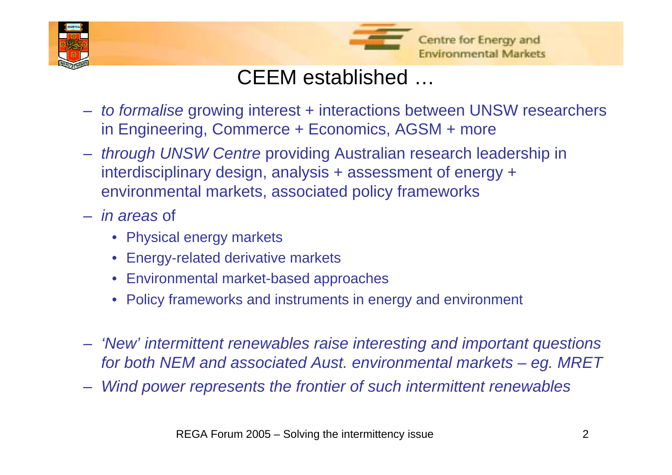



### CEEM established …

- *to formalise* growing interest + interactions between UNSW researchers in Engineering, Commerce + Economics, AGSM + more
- *through UNSW Centre* providing Australian research leadership in interdisciplinary design, analysis + assessment of energy + environmental markets, associated policy frameworks
- *in areas* of
	- Physical energy markets
	- •Energy-related derivative markets
	- •Environmental market-based approaches
	- •Policy frameworks and instruments in energy and environment
- *'New' intermittent renewables raise interesting and important questions for both NEM and associated Aust. environmental markets – eg. MRET*
- *Wind power represents the frontier of such intermittent renewables*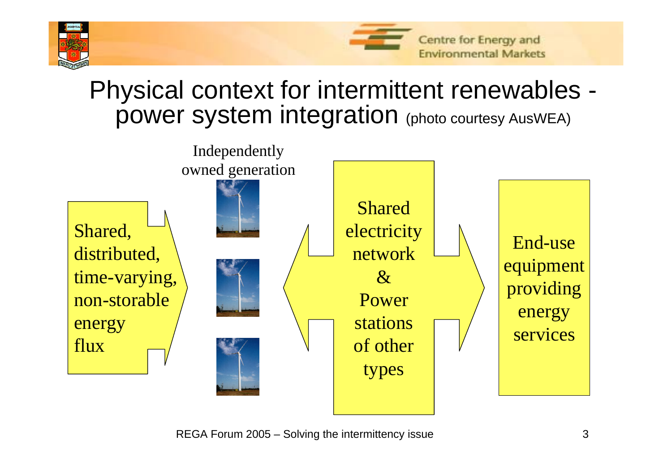



### Physical context for intermittent renewables power system integration (photo courtesy AusWEA)

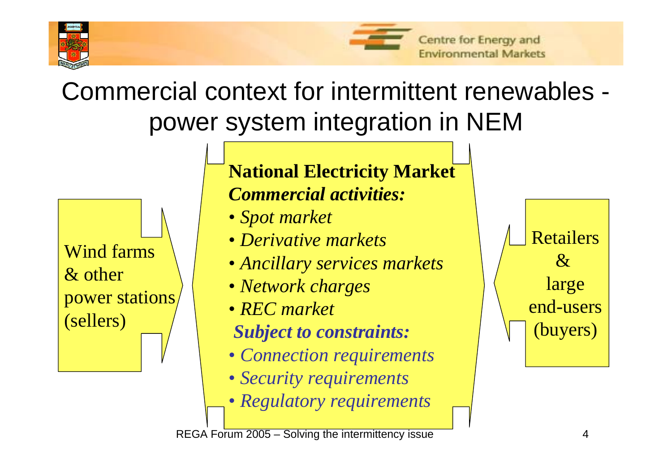



# Commercial context for intermittent renewables power system integration in NEM

Wind farms& other power stations (sellers)

#### **National Electricity Market** *Commercial activities:*

- *Spot market*
- *Derivative markets*
- *Ancillary services markets*
- *Network charges*
- *REC market*
- *Subject to constraints:*
- *Connection requirements*
- *Security requirements*
- *Regulatory requirements*

Retailers $\mathcal{X}_{\cdot}$ large end-users(buyers)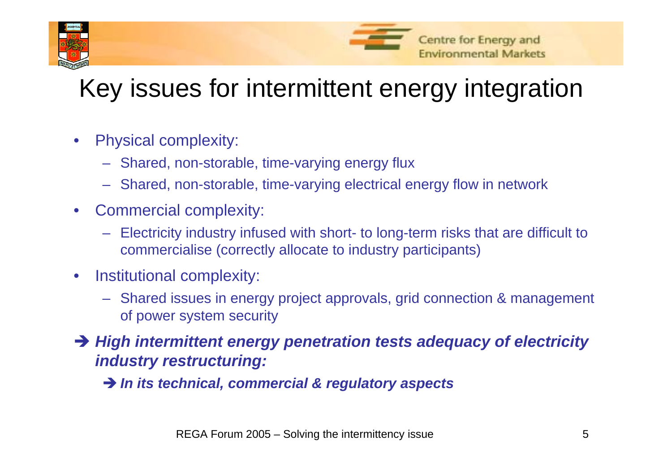



# Key issues for intermittent energy integration

- • Physical complexity:
	- Shared, non-storable, time-varying energy flux
	- Shared, non-storable, time-varying electrical energy flow in network
- $\bullet$  Commercial complexity:
	- Electricity industry infused with short- to long-term risks that are difficult to commercialise (correctly allocate to industry participants)
- $\bullet$  Institutional complexity:
	- Shared issues in energy project approvals, grid connection & management of power system security
- → High intermittent energy penetration tests adequacy of electricity *industry restructuring:*
	- $\rightarrow$  *In its technical, commercial & regulatory aspects*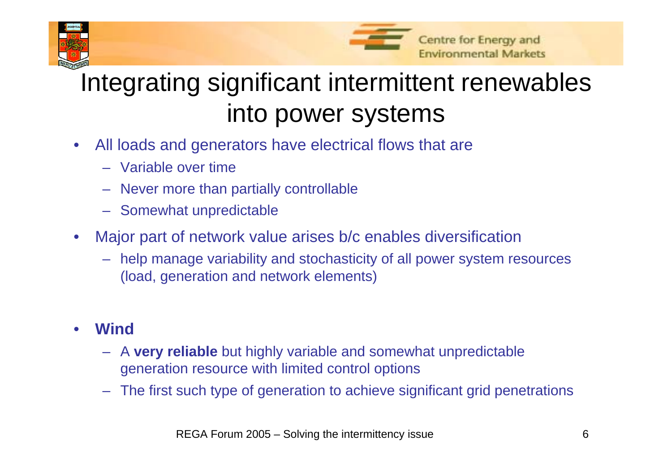



# Integrating significant intermittent renewables into power systems

- • All loads and generators have electrical flows that are
	- Variable over time
	- Never more than partially controllable
	- Somewhat unpredictable
- • Major part of network value arises b/c enables diversification
	- help manage variability and stochasticity of all power system resources (load, generation and network elements)

#### •**Wind**

- A **very reliable** but highly variable and somewhat unpredictable generation resource with limited control options
- The first such type of generation to achieve significant grid penetrations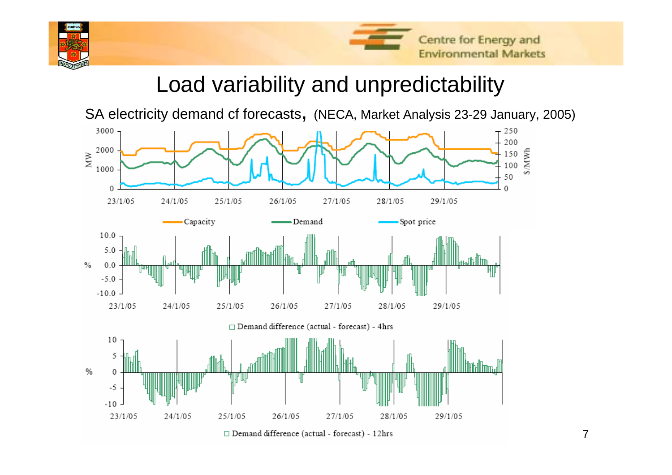



### Load variability and unpredictability

SA electricity demand cf forecasts, (NECA, Market Analysis 23-29 January, 2005)



 $\Box$  Demand difference (actual - forecast) - 12hrs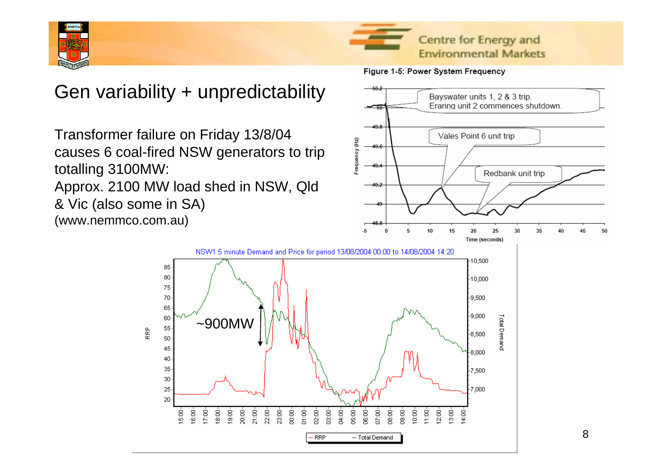

#### Gen variability + unpredictability

Transformer failure on Friday 13/8/04 causes 6 coal-fired NSW generators to trip totalling 3100MW:

Approx. 2100 MW load shed in NSW, Qld & Vic (also some in SA)

> 85 80

> 75 70

> 65

60 55

50 45

40 35

 $30<sub>1</sub>$ 25

20

 $\frac{8}{2}$  $\frac{8}{6}$ 

RRP

(www.nemmco.com.au)





50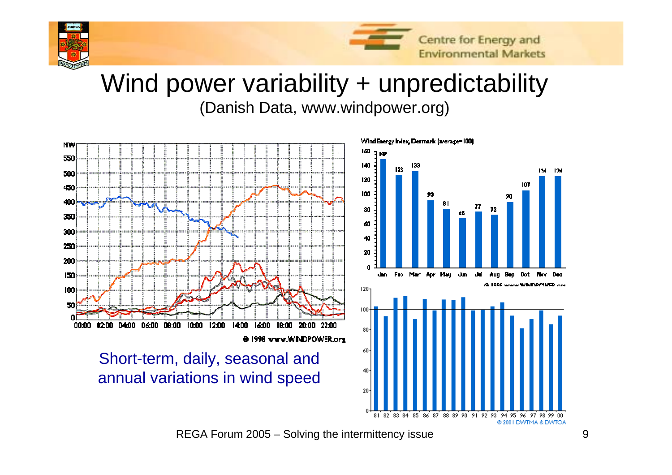

# Wind power variability + unpredictability

(Danish Data, www.windpower.org)



REGA Forum 2005 – Solving the intermittency issue 9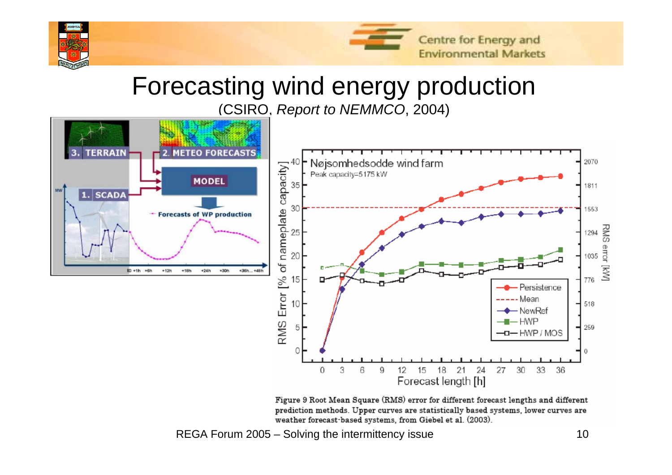

# Forecasting wind energy production

(CSIRO, *Report to NEMMCO*, 2004)



Figure 9 Root Mean Square (RMS) error for different forecast lengths and different prediction methods. Upper curves are statistically based systems, lower curves are weather forecast based systems, from Giebel et al. (2003).

REGA Forum 2005 – Solving the intermittency issue 10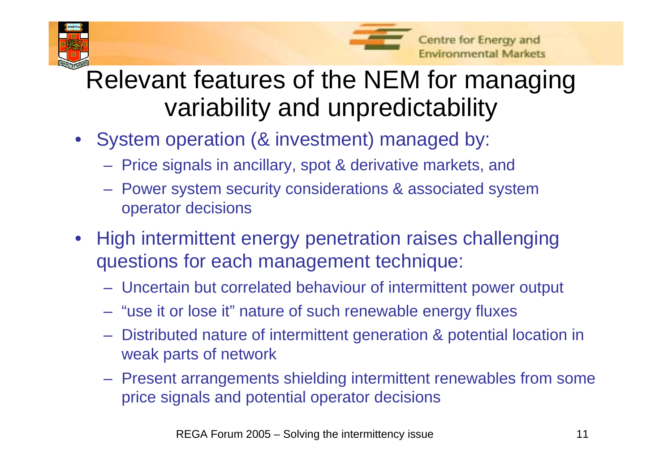



# Relevant features of the NEM for managing variability and unpredictability

- • System operation (& investment) managed by:
	- Price signals in ancillary, spot & derivative markets, and
	- Power system security considerations & associated system operator decisions
- • High intermittent energy penetration raises challenging questions for each management technique:
	- Uncertain but correlated behaviour of intermittent power output
	- "use it or lose it" nature of such renewable energy fluxes
	- Distributed nature of intermittent generation & potential location in weak parts of network
	- Present arrangements shielding intermittent renewables from some price signals and potential operator decisions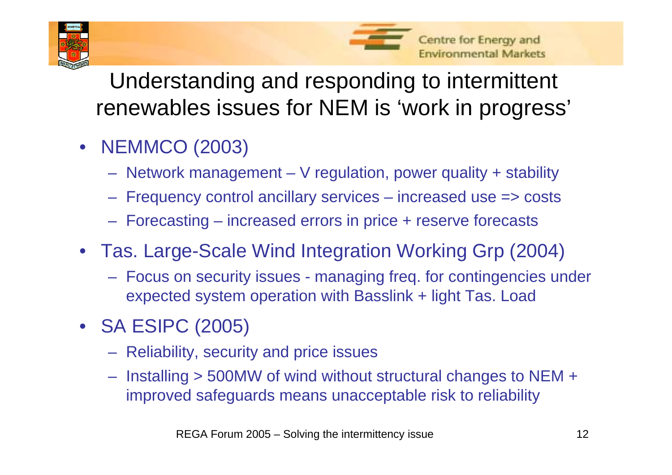



Understanding and responding to intermittent renewables issues for NEM is 'work in progress'

- NEMMCO (2003)
	- –Network management – V regulation, power quality + stability
	- –Frequency control ancillary services – increased use => costs
	- –Forecasting – increased errors in price + reserve forecasts
- Tas. Large-Scale Wind Integration Working Grp (2004)
	- Focus on security issues managing freq. for contingencies under expected system operation with Basslink + light Tas. Load
- SA ESIPC (2005)
	- **Hart Communication**  $-$  Reliability, security and price issues
	- **Hart Communication**  $-$  Installing > 500MW of wind without structural changes to NEM +  $\,$ improved safeguards means unacceptable risk to reliability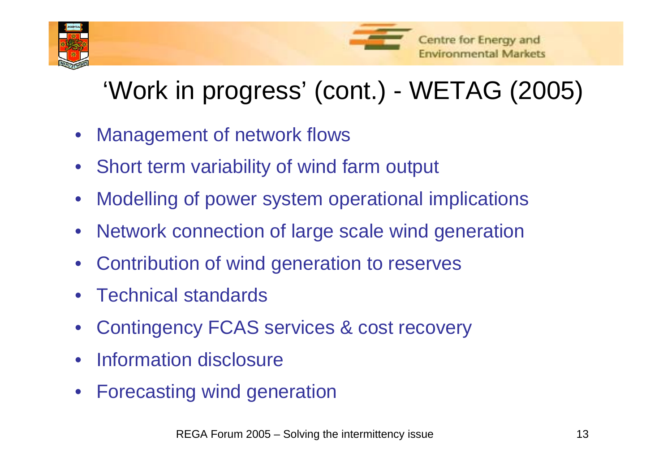



# 'Work in progress' (cont.) - WETAG (2005)

- •Management of network flows
- $\bullet$ Short term variability of wind farm output
- •Modelling of power system operational implications
- •Network connection of large scale wind generation
- •Contribution of wind generation to reserves
- •Technical standards
- •Contingency FCAS services & cost recovery
- •Information disclosure
- •Forecasting wind generation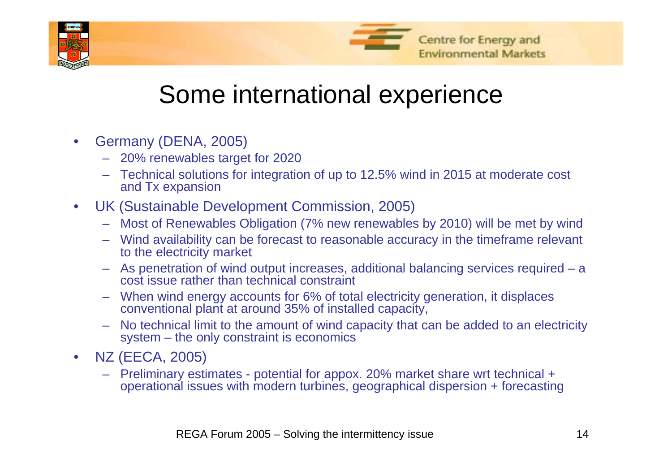



# Some international experience

- $\bullet$  Germany (DENA, 2005)
	- 20% renewables target for 2020
	- Technical solutions for integration of up to 12.5% wind in 2015 at moderate cost and Tx expansion
- $\bullet$  UK (Sustainable Development Commission, 2005)
	- Most of Renewables Obligation (7% new renewables by 2010) will be met by wind
	- Wind availability can be forecast to reasonable accuracy in the timeframe relevant to the electricity market
	- As penetration of wind output increases, additional balancing services required <sup>a</sup> cost issue rather than technical constraint
	- When wind energy accounts for 6% of total electricity generation, it displaces conventional plant at around 35% of installed capacity,
	- No technical limit to the amount of wind capacity that can be added to an electricity system – the only constraint is economics
- $\bullet$  NZ (EECA, 2005)
	- Preliminary estimates potential for appox. 20% market share wrt technical + operational issues with modern turbines, geographical dispersion + forecasting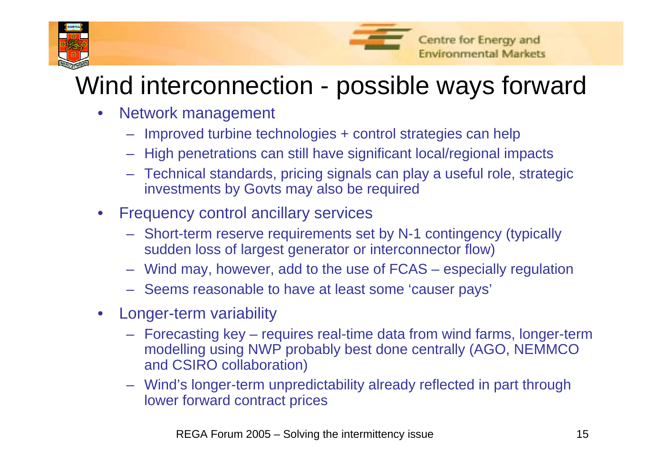



# Wind interconnection - possible ways forward

- $\bullet$  Network management
	- Improved turbine technologies + control strategies can help
	- High penetrations can still have significant local/regional impacts
	- Technical standards, pricing signals can play a useful role, strategic investments by Govts may also be required
- $\bullet$  Frequency control ancillary services
	- Short-term reserve requirements set by N-1 contingency (typically sudden loss of largest generator or interconnector flow)
	- Wind may, however, add to the use of FCAS especially regulation
	- Seems reasonable to have at least some 'causer pays'
- $\bullet$  Longer-term variability
	- Forecasting key requires real-time data from wind farms, longer-term modelling using NWP probably best done centrally (AGO, NEMMCO and CSIRO collaboration)
	- Wind's longer-term unpredictability already reflected in part through lower forward contract prices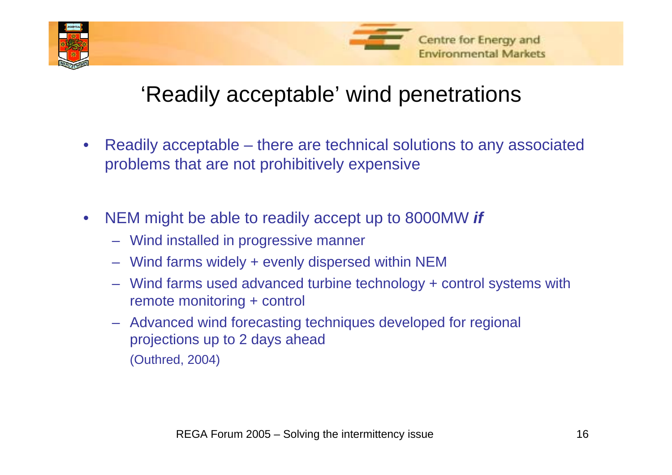



### 'Readily acceptable' wind penetrations

- $\bullet$  Readily acceptable – there are technical solutions to any associated problems that are not prohibitively expensive
- • NEM might be able to readily accept up to 8000MW *if*
	- Wind installed in progressive manner
	- Wind farms widely + evenly dispersed within NEM
	- Wind farms used advanced turbine technology + control systems with remote monitoring + control
	- Advanced wind forecasting techniques developed for regional projections up to 2 days ahead (Outhred, 2004)